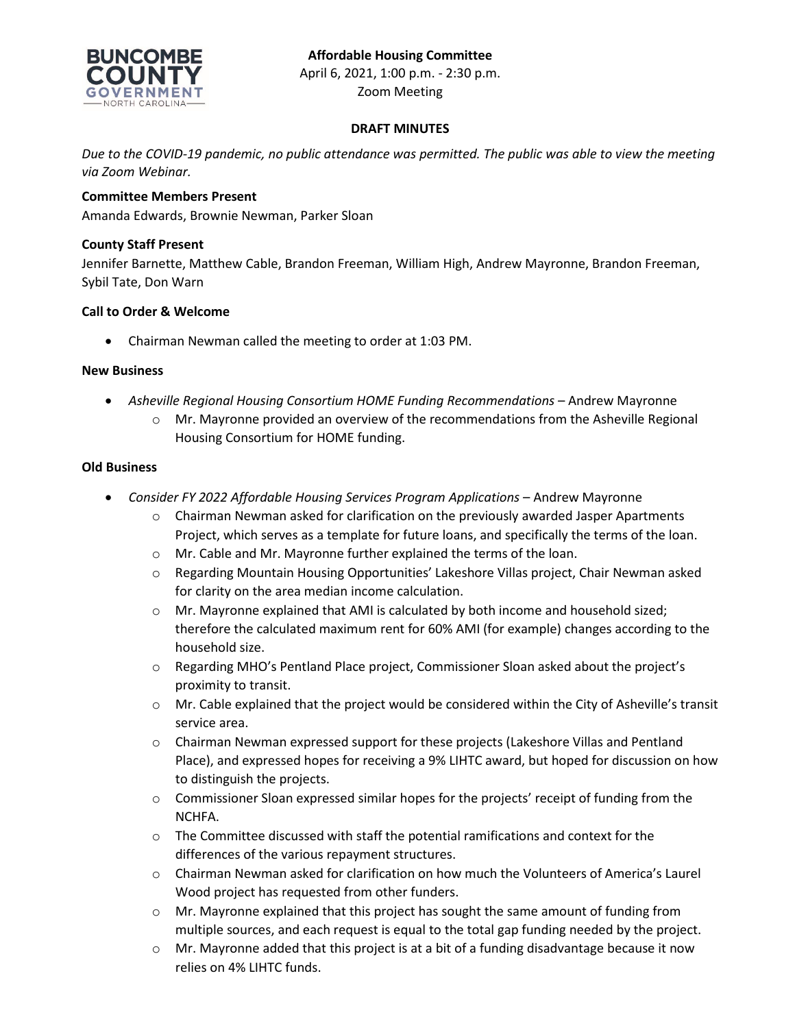

Zoom Meeting

### **DRAFT MINUTES**

*Due to the COVID-19 pandemic, no public attendance was permitted. The public was able to view the meeting via Zoom Webinar.*

## **Committee Members Present**

Amanda Edwards, Brownie Newman, Parker Sloan

## **County Staff Present**

Jennifer Barnette, Matthew Cable, Brandon Freeman, William High, Andrew Mayronne, Brandon Freeman, Sybil Tate, Don Warn

### **Call to Order & Welcome**

• Chairman Newman called the meeting to order at 1:03 PM.

#### **New Business**

- *Asheville Regional Housing Consortium HOME Funding Recommendations* Andrew Mayronne
	- o Mr. Mayronne provided an overview of the recommendations from the Asheville Regional Housing Consortium for HOME funding.

### **Old Business**

- *Consider FY 2022 Affordable Housing Services Program Applications* Andrew Mayronne
	- $\circ$  Chairman Newman asked for clarification on the previously awarded Jasper Apartments Project, which serves as a template for future loans, and specifically the terms of the loan.
	- o Mr. Cable and Mr. Mayronne further explained the terms of the loan.
	- o Regarding Mountain Housing Opportunities' Lakeshore Villas project, Chair Newman asked for clarity on the area median income calculation.
	- o Mr. Mayronne explained that AMI is calculated by both income and household sized; therefore the calculated maximum rent for 60% AMI (for example) changes according to the household size.
	- o Regarding MHO's Pentland Place project, Commissioner Sloan asked about the project's proximity to transit.
	- o Mr. Cable explained that the project would be considered within the City of Asheville's transit service area.
	- o Chairman Newman expressed support for these projects (Lakeshore Villas and Pentland Place), and expressed hopes for receiving a 9% LIHTC award, but hoped for discussion on how to distinguish the projects.
	- o Commissioner Sloan expressed similar hopes for the projects' receipt of funding from the NCHFA.
	- $\circ$  The Committee discussed with staff the potential ramifications and context for the differences of the various repayment structures.
	- $\circ$  Chairman Newman asked for clarification on how much the Volunteers of America's Laurel Wood project has requested from other funders.
	- $\circ$  Mr. Mayronne explained that this project has sought the same amount of funding from multiple sources, and each request is equal to the total gap funding needed by the project.
	- $\circ$  Mr. Mayronne added that this project is at a bit of a funding disadvantage because it now relies on 4% LIHTC funds.